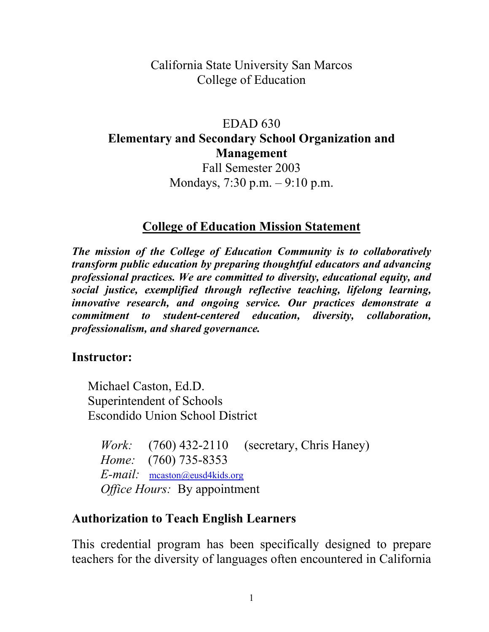California State University San Marcos College of Education

### EDAD 630 **Elementary and Secondary School Organization and Management**

Fall Semester 2003 Mondays, 7:30 p.m. – 9:10 p.m.

#### **College of Education Mission Statement**

*The mission of the College of Education Community is to collaboratively transform public education by preparing thoughtful educators and advancing professional practices. We are committed to diversity, educational equity, and social justice, exemplified through reflective teaching, lifelong learning, innovative research, and ongoing service. Our practices demonstrate a commitment to student-centered education, diversity, collaboration, professionalism, and shared governance.* 

#### **Instructor:**

Michael Caston, Ed.D. Superintendent of Schools Escondido Union School District

*Work:* (760) 432-2110 (secretary, Chris Haney) *Home:* (760) 735-8353 *E-mail:* mcaston@eusd4kids.org *Office Hours:* By appointment

#### **Authorization to Teach English Learners**

This credential program has been specifically designed to prepare teachers for the diversity of languages often encountered in California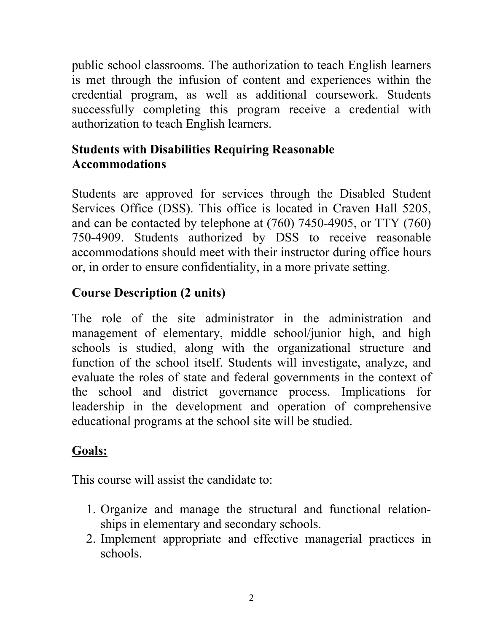public school classrooms. The authorization to teach English learners is met through the infusion of content and experiences within the credential program, as well as additional coursework. Students successfully completing this program receive a credential with authorization to teach English learners.

### **Students with Disabilities Requiring Reasonable Accommodations**

Students are approved for services through the Disabled Student Services Office (DSS). This office is located in Craven Hall 5205, and can be contacted by telephone at (760) 7450-4905, or TTY (760) 750-4909. Students authorized by DSS to receive reasonable accommodations should meet with their instructor during office hours or, in order to ensure confidentiality, in a more private setting.

## **Course Description (2 units)**

The role of the site administrator in the administration and management of elementary, middle school/junior high, and high schools is studied, along with the organizational structure and function of the school itself. Students will investigate, analyze, and evaluate the roles of state and federal governments in the context of the school and district governance process. Implications for leadership in the development and operation of comprehensive educational programs at the school site will be studied.

### **Goals:**

This course will assist the candidate to:

- 1. Organize and manage the structural and functional relationships in elementary and secondary schools.
- 2. Implement appropriate and effective managerial practices in schools.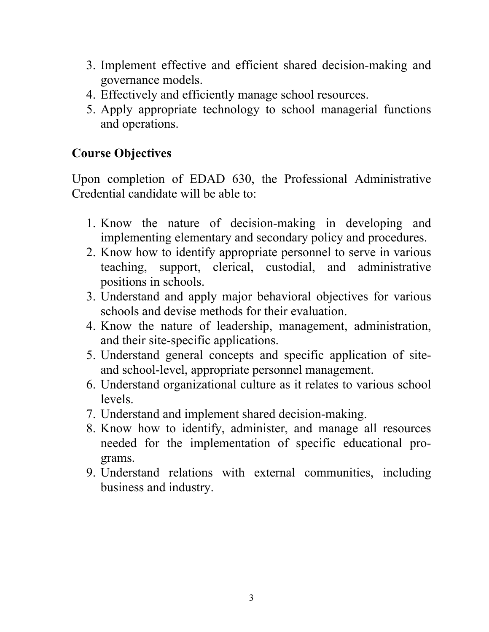- 3. Implement effective and efficient shared decision-making and governance models.
- 4. Effectively and efficiently manage school resources.
- 5. Apply appropriate technology to school managerial functions and operations.

### **Course Objectives**

Upon completion of EDAD 630, the Professional Administrative Credential candidate will be able to:

- 1. Know the nature of decision-making in developing and implementing elementary and secondary policy and procedures.
- 2. Know how to identify appropriate personnel to serve in various teaching, support, clerical, custodial, and administrative positions in schools.
- 3. Understand and apply major behavioral objectives for various schools and devise methods for their evaluation.
- 4. Know the nature of leadership, management, administration, and their site-specific applications.
- 5. Understand general concepts and specific application of siteand school-level, appropriate personnel management.
- 6. Understand organizational culture as it relates to various school levels.
- 7. Understand and implement shared decision-making.
- 8. Know how to identify, administer, and manage all resources needed for the implementation of specific educational programs.
- 9. Understand relations with external communities, including business and industry.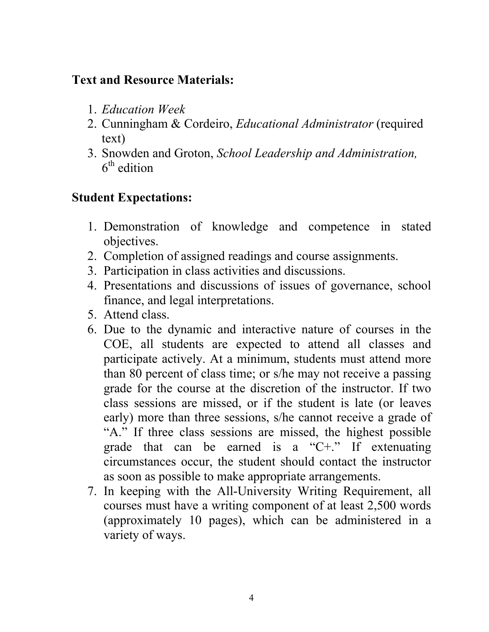#### **Text and Resource Materials:**

- 1. *Education Week*
- 2. Cunningham & Cordeiro, *Educational Administrator* (required text)
- 3. Snowden and Groton, *School Leadership and Administration,*   $6<sup>th</sup>$  edition

## **Student Expectations:**

- 1. Demonstration of knowledge and competence in stated objectives.
- 2. Completion of assigned readings and course assignments.
- 3. Participation in class activities and discussions.
- 4. Presentations and discussions of issues of governance, school finance, and legal interpretations.
- 5. Attend class.
- 6. Due to the dynamic and interactive nature of courses in the COE, all students are expected to attend all classes and participate actively. At a minimum, students must attend more than 80 percent of class time; or s/he may not receive a passing grade for the course at the discretion of the instructor. If two class sessions are missed, or if the student is late (or leaves early) more than three sessions, s/he cannot receive a grade of "A." If three class sessions are missed, the highest possible grade that can be earned is a "C+." If extenuating circumstances occur, the student should contact the instructor as soon as possible to make appropriate arrangements.
- 7. In keeping with the All-University Writing Requirement, all courses must have a writing component of at least 2,500 words (approximately 10 pages), which can be administered in a variety of ways.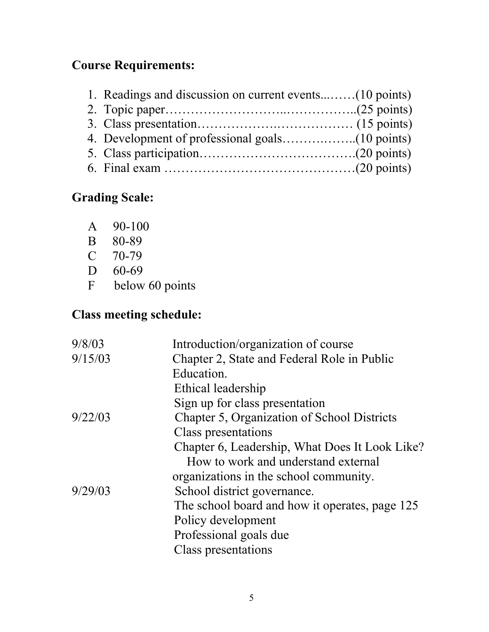# **Course Requirements:**

# **Grading Scale:**

- A 90-100
- B 80-89
- C 70-79
- D 60-69
- F below 60 points

# **Class meeting schedule:**

| Introduction/organization of course            |
|------------------------------------------------|
| Chapter 2, State and Federal Role in Public    |
| Education.                                     |
| Ethical leadership                             |
| Sign up for class presentation                 |
| Chapter 5, Organization of School Districts    |
| Class presentations                            |
| Chapter 6, Leadership, What Does It Look Like? |
| How to work and understand external            |
| organizations in the school community.         |
| School district governance.                    |
| The school board and how it operates, page 125 |
| Policy development                             |
| Professional goals due                         |
| Class presentations                            |
|                                                |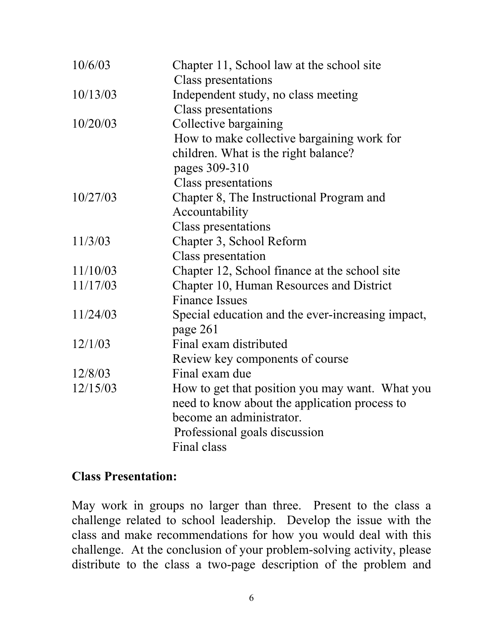| Class presentations<br>Independent study, no class meeting<br>10/13/03<br>Class presentations<br>Collective bargaining<br>10/20/03 |  |
|------------------------------------------------------------------------------------------------------------------------------------|--|
|                                                                                                                                    |  |
|                                                                                                                                    |  |
|                                                                                                                                    |  |
|                                                                                                                                    |  |
| How to make collective bargaining work for                                                                                         |  |
| children. What is the right balance?                                                                                               |  |
| pages 309-310                                                                                                                      |  |
| <b>Class presentations</b>                                                                                                         |  |
| 10/27/03<br>Chapter 8, The Instructional Program and                                                                               |  |
| Accountability                                                                                                                     |  |
| <b>Class presentations</b>                                                                                                         |  |
| 11/3/03<br>Chapter 3, School Reform                                                                                                |  |
| <b>Class presentation</b>                                                                                                          |  |
| 11/10/03<br>Chapter 12, School finance at the school site                                                                          |  |
| 11/17/03<br>Chapter 10, Human Resources and District                                                                               |  |
| <b>Finance Issues</b>                                                                                                              |  |
| 11/24/03<br>Special education and the ever-increasing impact,                                                                      |  |
| page 261                                                                                                                           |  |
| Final exam distributed<br>12/1/03                                                                                                  |  |
| Review key components of course                                                                                                    |  |
| Final exam due<br>12/8/03                                                                                                          |  |
| 12/15/03<br>How to get that position you may want. What you                                                                        |  |
| need to know about the application process to                                                                                      |  |
| become an administrator.                                                                                                           |  |
| Professional goals discussion                                                                                                      |  |
| Final class                                                                                                                        |  |

#### **Class Presentation:**

May work in groups no larger than three. Present to the class a challenge related to school leadership. Develop the issue with the class and make recommendations for how you would deal with this challenge. At the conclusion of your problem-solving activity, please distribute to the class a two-page description of the problem and